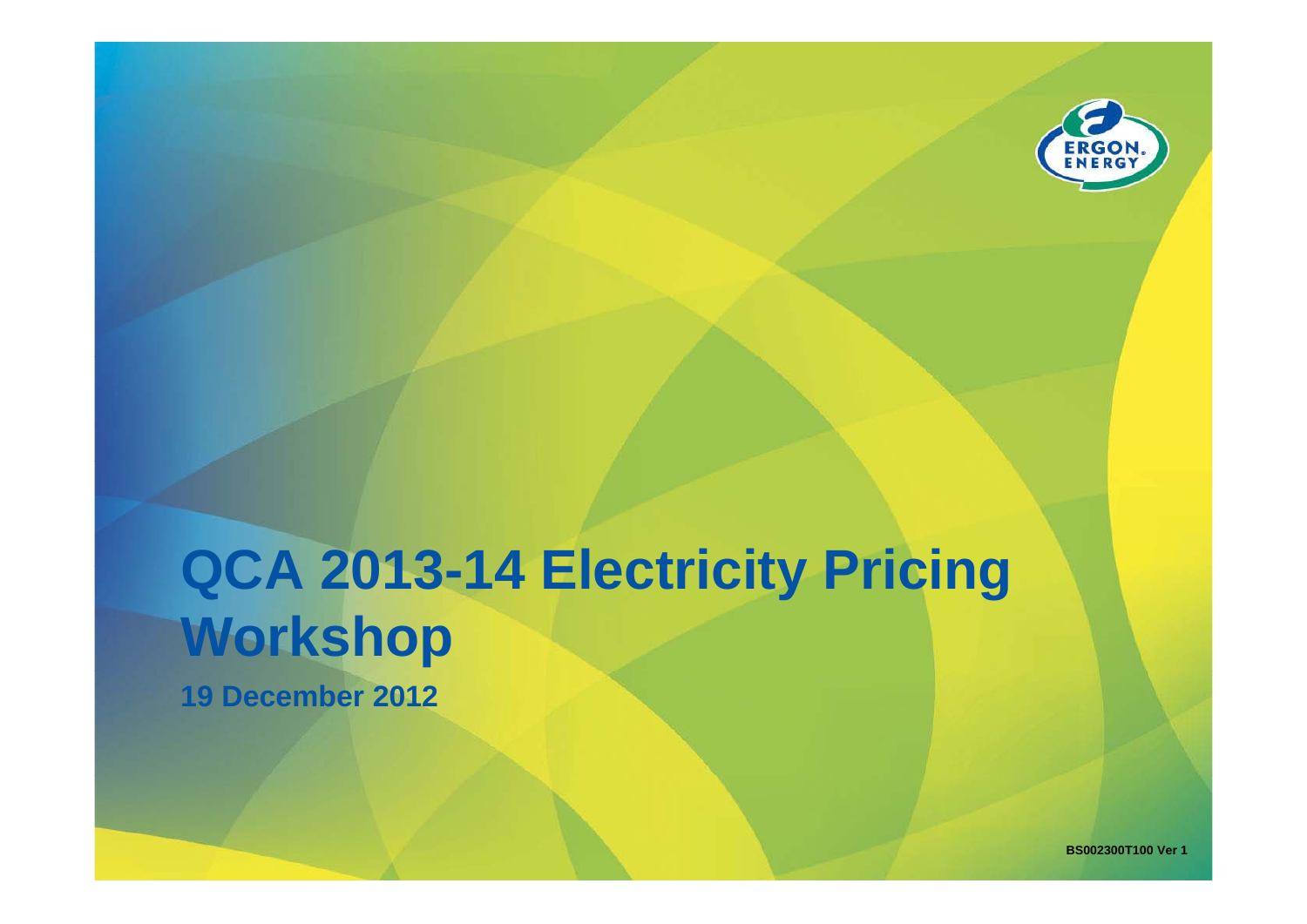

# **QCA 2013 QCA 2013-14 Electricity Pricing 14 Workshop**

**19 December 2012**

**BS002300T100 Ver 1**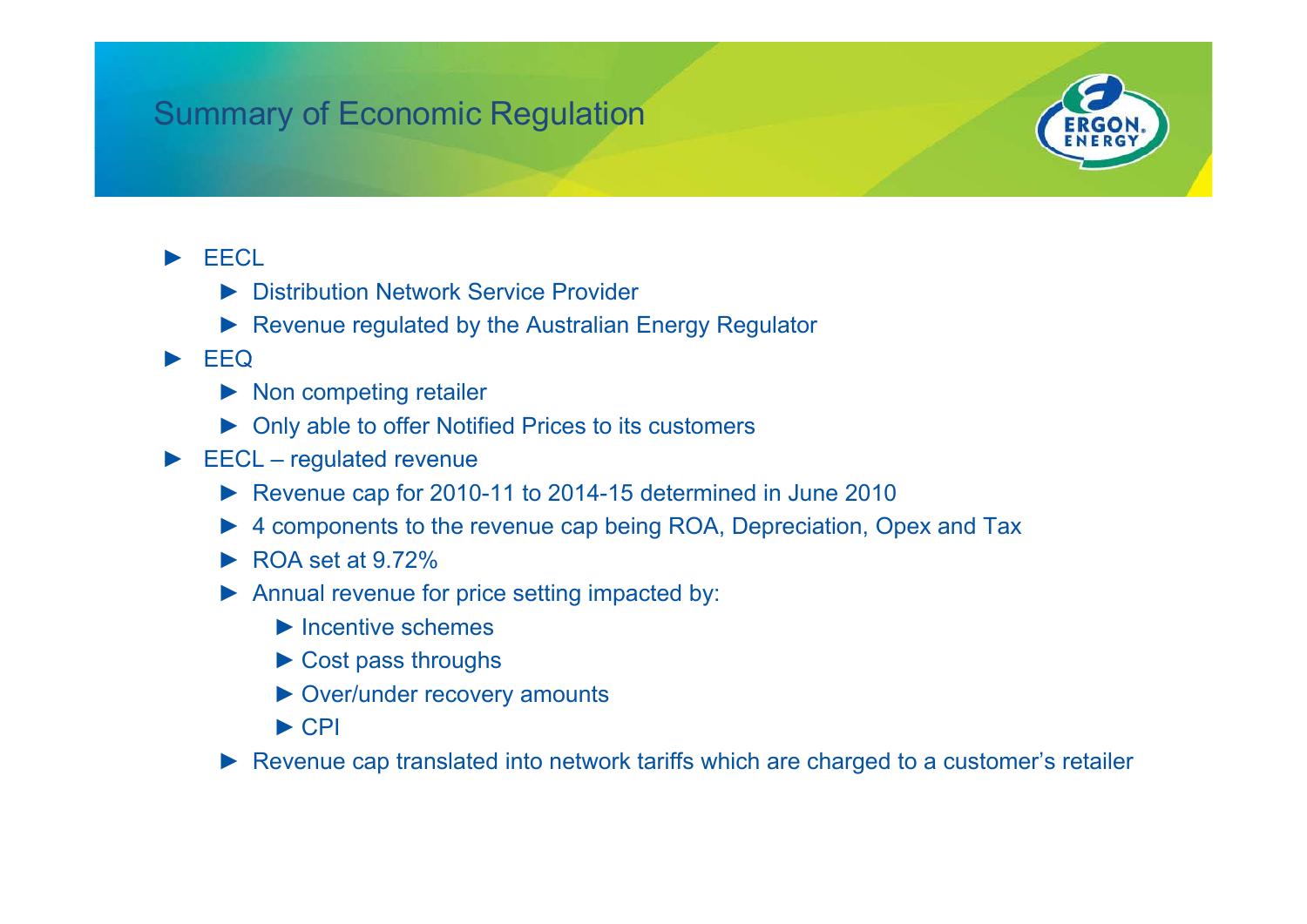# Summary of Economic Regulation



### ►**FFCL**

- ► Distribution Network Service Provider
- ► Revenue regulated by the Australian Energy Regulator

#### ►EEQ

- ► Non competing retailer
- ► Only able to offer Notified Prices to its customers
- ► EECL regulated revenue
	- ► Revenue cap for 2010-11 to 2014-15 determined in June 2010
	- ► 4 components to the revenue cap being ROA, Depreciation, Opex and Tax
	- $\blacktriangleright$  ROA set at 9.72%
	- ► Annual revenue for price setting impacted by:
		- ► Incentive schemes
		- $\triangleright$  Cost pass throughs
		- ► Over/under recovery amounts
		- $\blacktriangleright$  CPI
	- ► Revenue cap translated into network tariffs which are charged to a customer's retailer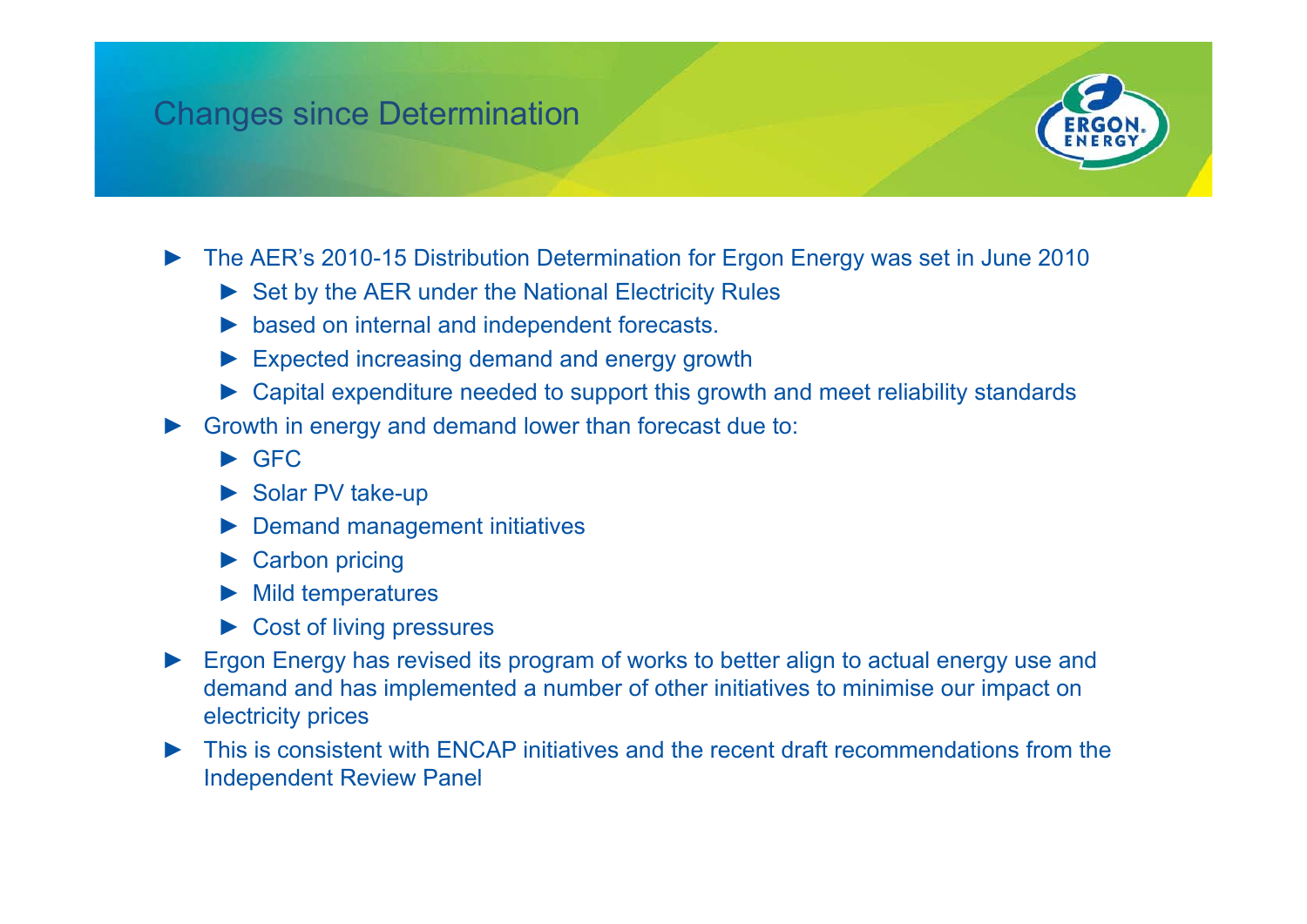### Changes since Determination



- ►• The AER's 2010-15 Distribution Determination for Ergon Energy was set in June 2010
	- ► Set by the AER under the National Electricity Rules
	- ► based on internal and independent forecasts.
	- $\blacktriangleright$  Expected increasing demand and energy growth
	- ► Capital expenditure needed to support this growth and meet reliability standards
- ► Growth in energy and demand lower than forecast due to:
	- ► GFC
	- ► Solar PV take-up
	- ► Demand management initiatives
	- ► Carbon pricing
	- ►Mild temperatures
	- ► Cost of living pressures
- ►Ergon Energy has revised its program of works to better align to actual energy use and demand and has implemented a number of other initiatives to minimise our impact on electricity prices
- ► This is consistent with ENCAP initiatives and the recent draft recommendations from the **Independent Review Panel**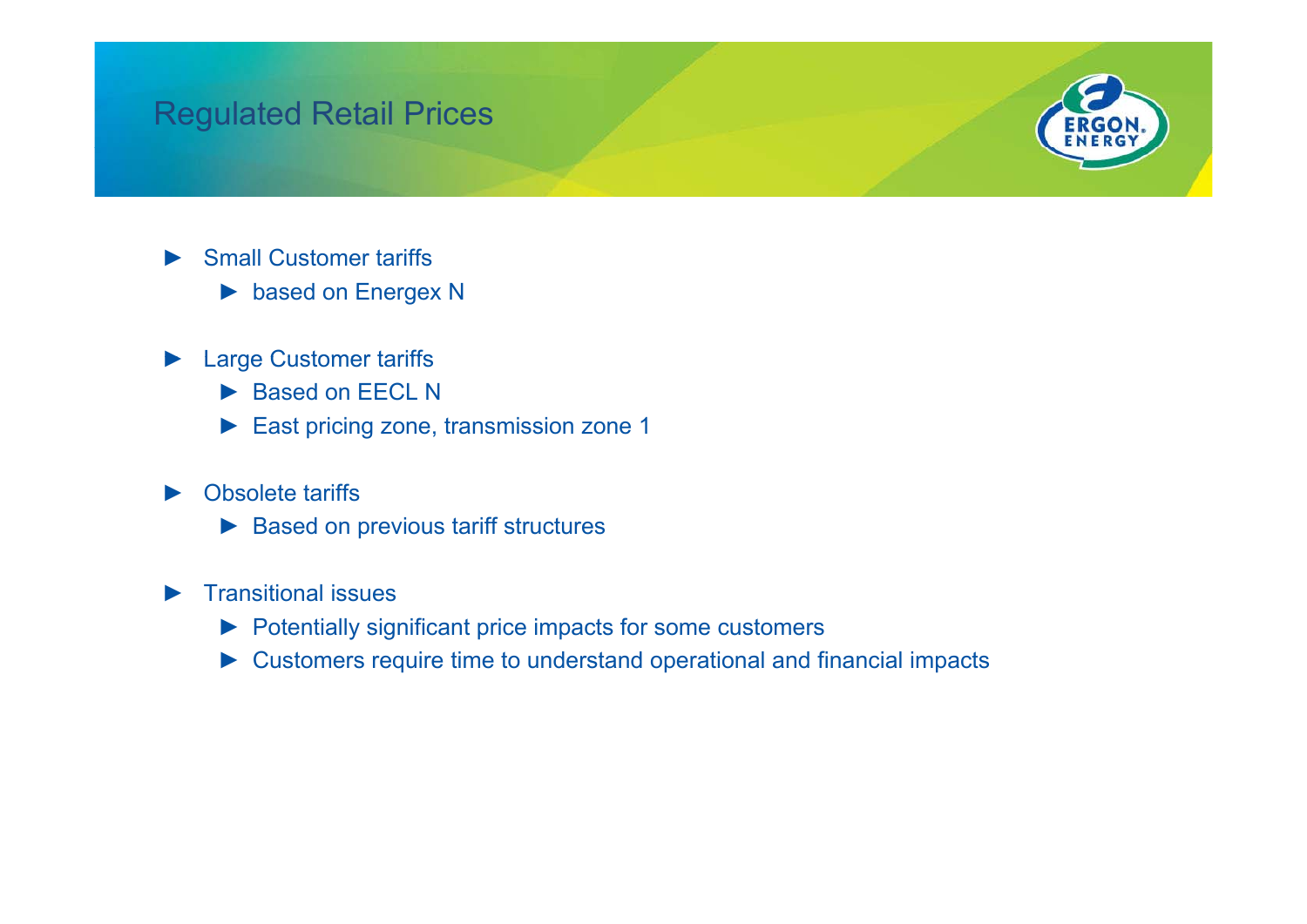### Regulated Retail Prices



- ►**Small Customer tariffs** 
	- ► based on Energex N
- ►**Large Customer tariffs** 
	- ► Based on EECL N
	- ► East pricing zone, transmission zone 1

#### ►Obsolete tariffs

- ► Based on previous tariff structures
- ► Transitional issues
	- ► Potentially significant price impacts for some customers
	- $\triangleright$  Customers require time to understand operational and financial impacts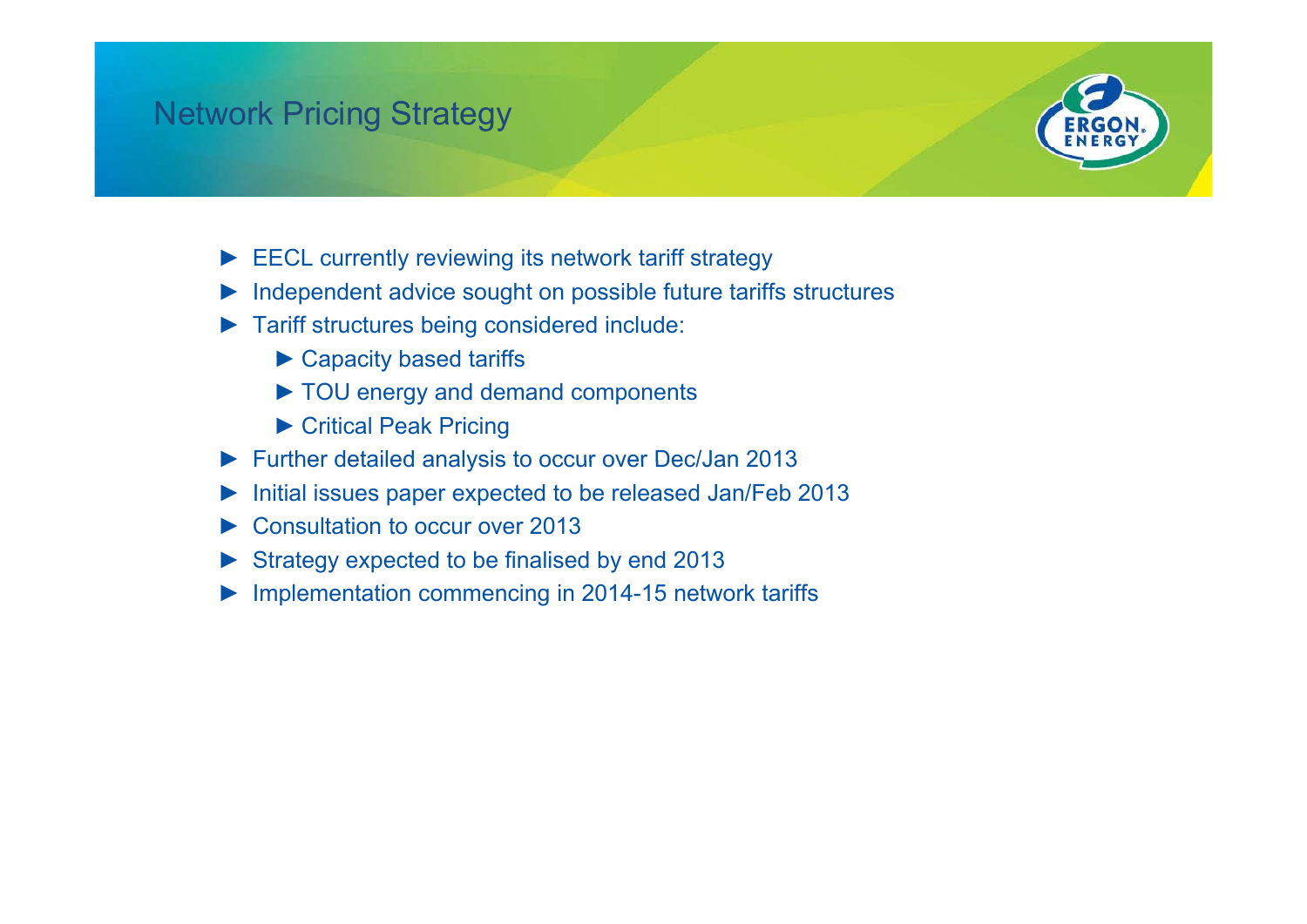## Network Pricing Strategy



- $\blacktriangleright$  EECL currently reviewing its network tariff strategy
- ► Independent advice sought on possible future tariffs structures
- ► Tariff structures being considered include:
	- $\blacktriangleright$  Capacity based tariffs
	- ► TOU energy and demand components
	- ► Critical Peak Pricing
- ► Further detailed analysis to occur over Dec/Jan 2013
- ►Initial issues paper expected to be released Jan/Feb 2013
- ►Consultation to occur over 2013
- $\triangleright$  Strategy expected to be finalised by end 2013
- ► Implementation commencing in 2014-15 network tariffs